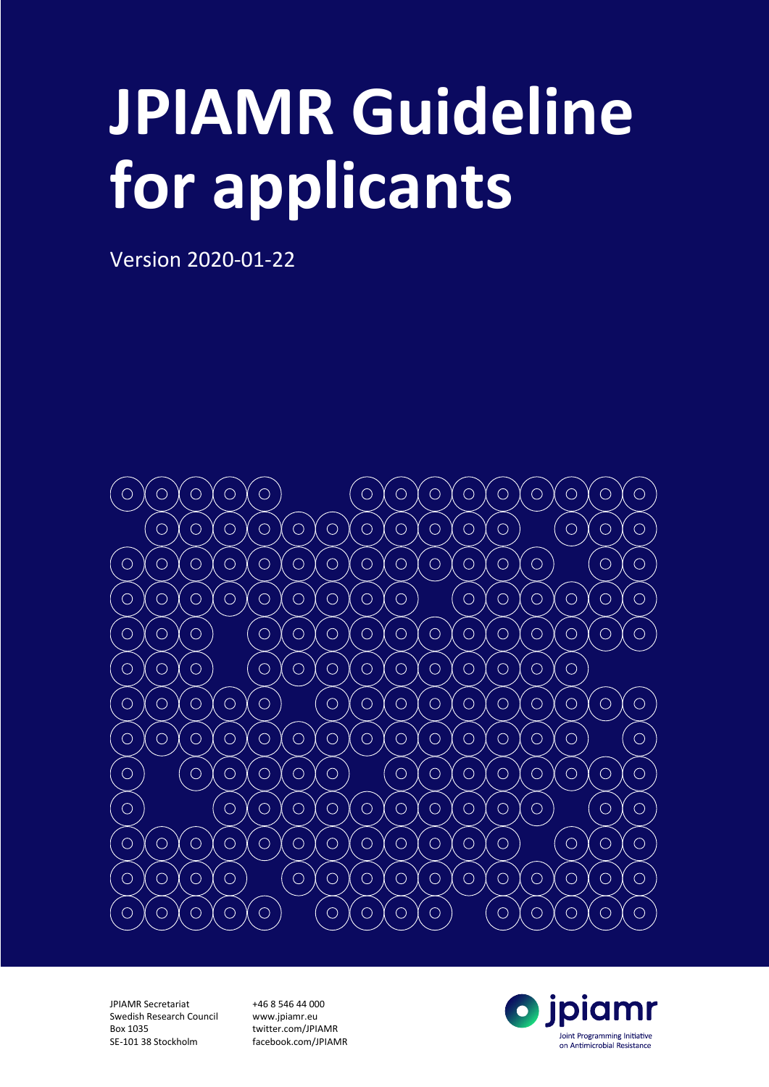# **JPIAMR Guideline for applicants**

Version 2020-01-22



JPIAMR Secretariat Swedish Research Council Box 1035 SE-101 38 Stockholm

+46 8 546 44 000 www.jpiamr.eu twitter.com/JPIAMR facebook.com/JPIAMR

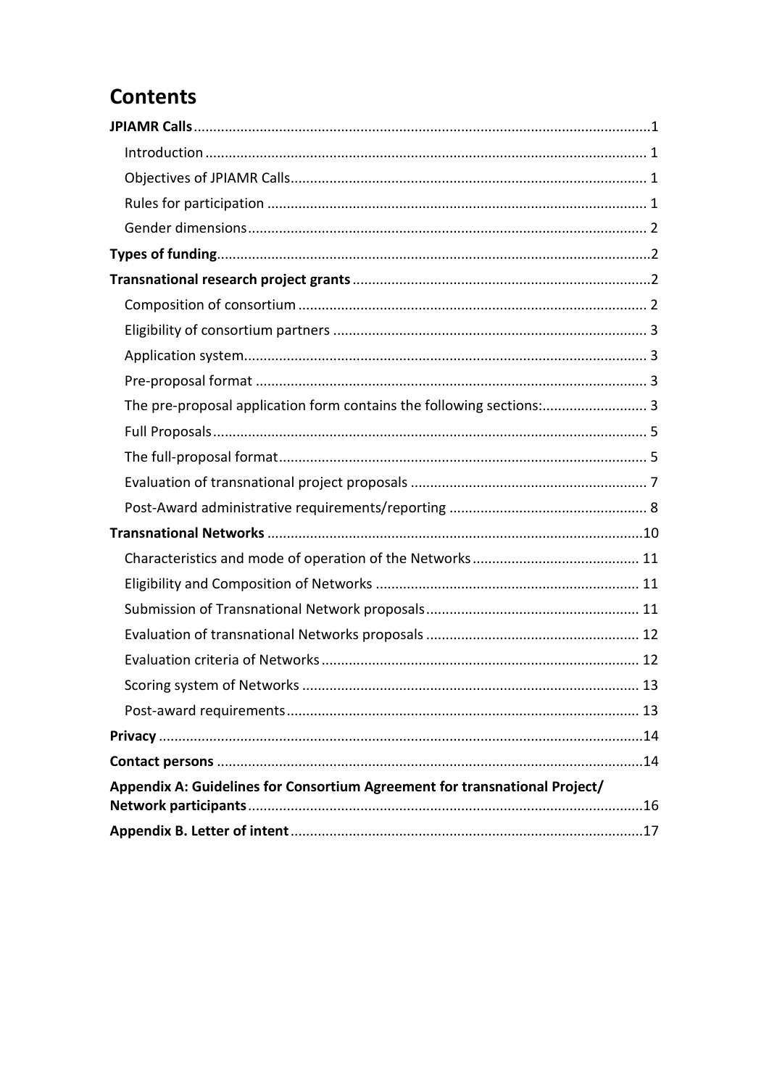# **Contents**

| The pre-proposal application form contains the following sections: 3       |
|----------------------------------------------------------------------------|
|                                                                            |
|                                                                            |
|                                                                            |
|                                                                            |
|                                                                            |
|                                                                            |
|                                                                            |
|                                                                            |
|                                                                            |
|                                                                            |
|                                                                            |
|                                                                            |
|                                                                            |
|                                                                            |
| Appendix A: Guidelines for Consortium Agreement for transnational Project/ |
|                                                                            |
|                                                                            |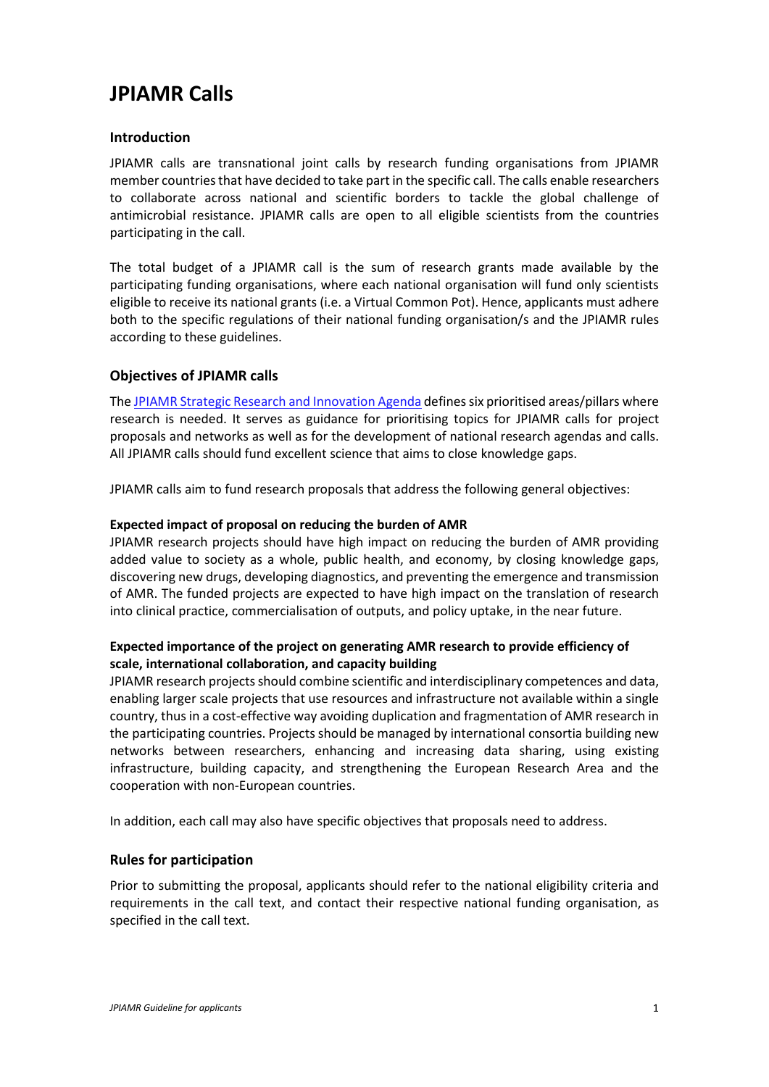# <span id="page-2-0"></span>**JPIAMR Calls**

## <span id="page-2-1"></span>**Introduction**

JPIAMR calls are transnational joint calls by research funding organisations from JPIAMR member countries that have decided to take part in the specific call. The calls enable researchers to collaborate across national and scientific borders to tackle the global challenge of antimicrobial resistance. JPIAMR calls are open to all eligible scientists from the countries participating in the call.

The total budget of a JPIAMR call is the sum of research grants made available by the participating funding organisations, where each national organisation will fund only scientists eligible to receive its national grants (i.e. a Virtual Common Pot). Hence, applicants must adhere both to the specific regulations of their national funding organisation/s and the JPIAMR rules according to these guidelines.

# <span id="page-2-2"></span>**Objectives of JPIAMR calls**

Th[e JPIAMR Strategic Research and Innovation Agenda](https://www.jpiamr.eu/wp-content/uploads/2019/05/JPIAMR_SRIA_final.pdf) defines six prioritised areas/pillars where research is needed. It serves as guidance for prioritising topics for JPIAMR calls for project proposals and networks as well as for the development of national research agendas and calls. All JPIAMR calls should fund excellent science that aims to close knowledge gaps.

JPIAMR calls aim to fund research proposals that address the following general objectives:

#### **Expected impact of proposal on reducing the burden of AMR**

JPIAMR research projects should have high impact on reducing the burden of AMR providing added value to society as a whole, public health, and economy, by closing knowledge gaps, discovering new drugs, developing diagnostics, and preventing the emergence and transmission of AMR. The funded projects are expected to have high impact on the translation of research into clinical practice, commercialisation of outputs, and policy uptake, in the near future.

## **Expected importance of the project on generating AMR research to provide efficiency of scale, international collaboration, and capacity building**

JPIAMR research projects should combine scientific and interdisciplinary competences and data, enabling larger scale projects that use resources and infrastructure not available within a single country, thus in a cost-effective way avoiding duplication and fragmentation of AMR research in the participating countries. Projects should be managed by international consortia building new networks between researchers, enhancing and increasing data sharing, using existing infrastructure, building capacity, and strengthening the European Research Area and the cooperation with non-European countries.

In addition, each call may also have specific objectives that proposals need to address.

#### <span id="page-2-3"></span>**Rules for participation**

Prior to submitting the proposal, applicants should refer to the national eligibility criteria and requirements in the call text, and contact their respective national funding organisation, as specified in the call text.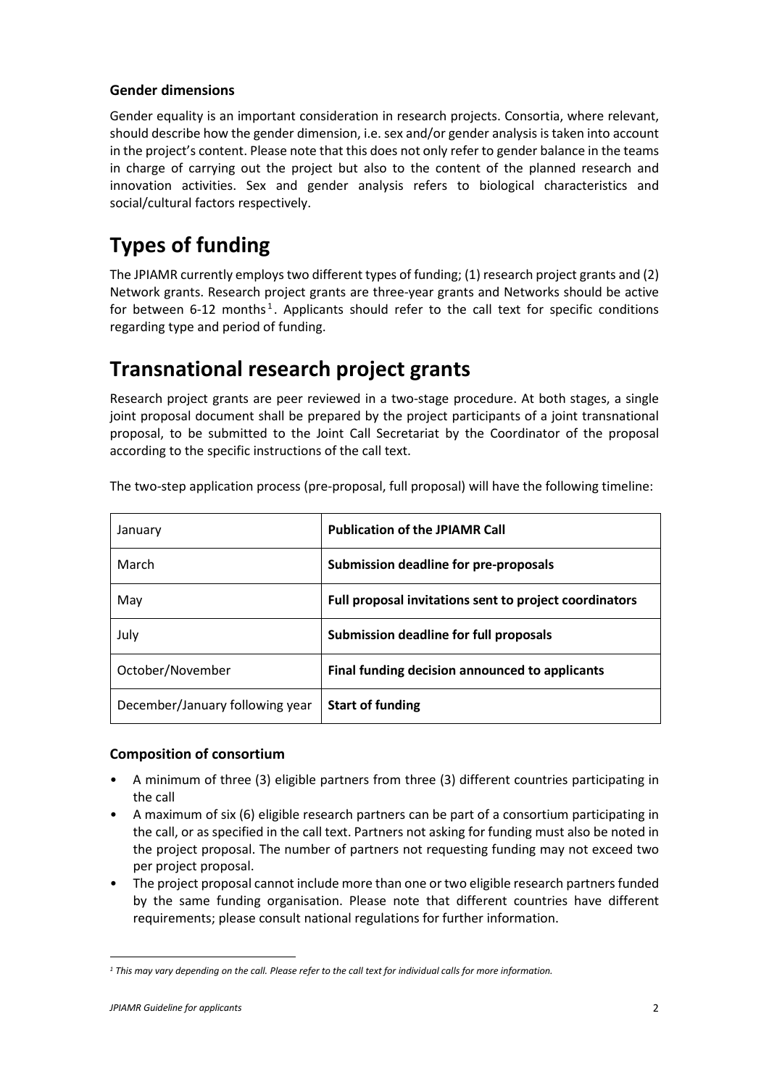# <span id="page-3-0"></span>**Gender dimensions**

Gender equality is an important consideration in research projects. Consortia, where relevant, should describe how the gender dimension, i.e. sex and/or gender analysis is taken into account in the project's content. Please note that this does not only refer to gender balance in the teams in charge of carrying out the project but also to the content of the planned research and innovation activities. Sex and gender analysis refers to biological characteristics and social/cultural factors respectively.

# <span id="page-3-1"></span>**Types of funding**

The JPIAMR currently employs two different types of funding; (1) research project grants and (2) Network grants. Research project grants are three-year grants and Networks should be active for between 6-[1](#page-3-4)2 months<sup>1</sup>. Applicants should refer to the call text for specific conditions regarding type and period of funding.

# <span id="page-3-2"></span>**Transnational research project grants**

Research project grants are peer reviewed in a two-stage procedure. At both stages, a single joint proposal document shall be prepared by the project participants of a joint transnational proposal, to be submitted to the Joint Call Secretariat by the Coordinator of the proposal according to the specific instructions of the call text.

| January                         | <b>Publication of the JPIAMR Call</b>                  |
|---------------------------------|--------------------------------------------------------|
| March                           | Submission deadline for pre-proposals                  |
| May                             | Full proposal invitations sent to project coordinators |
| July                            | Submission deadline for full proposals                 |
| October/November                | Final funding decision announced to applicants         |
| December/January following year | <b>Start of funding</b>                                |

The two-step application process (pre-proposal, full proposal) will have the following timeline:

# <span id="page-3-3"></span>**Composition of consortium**

- A minimum of three (3) eligible partners from three (3) different countries participating in the call
- A maximum of six (6) eligible research partners can be part of a consortium participating in the call, or as specified in the call text. Partners not asking for funding must also be noted in the project proposal. The number of partners not requesting funding may not exceed two per project proposal.
- The project proposal cannot include more than one or two eligible research partners funded by the same funding organisation. Please note that different countries have different requirements; please consult national regulations for further information.

<span id="page-3-4"></span>*<sup>1</sup> This may vary depending on the call. Please refer to the call text for individual calls for more information.*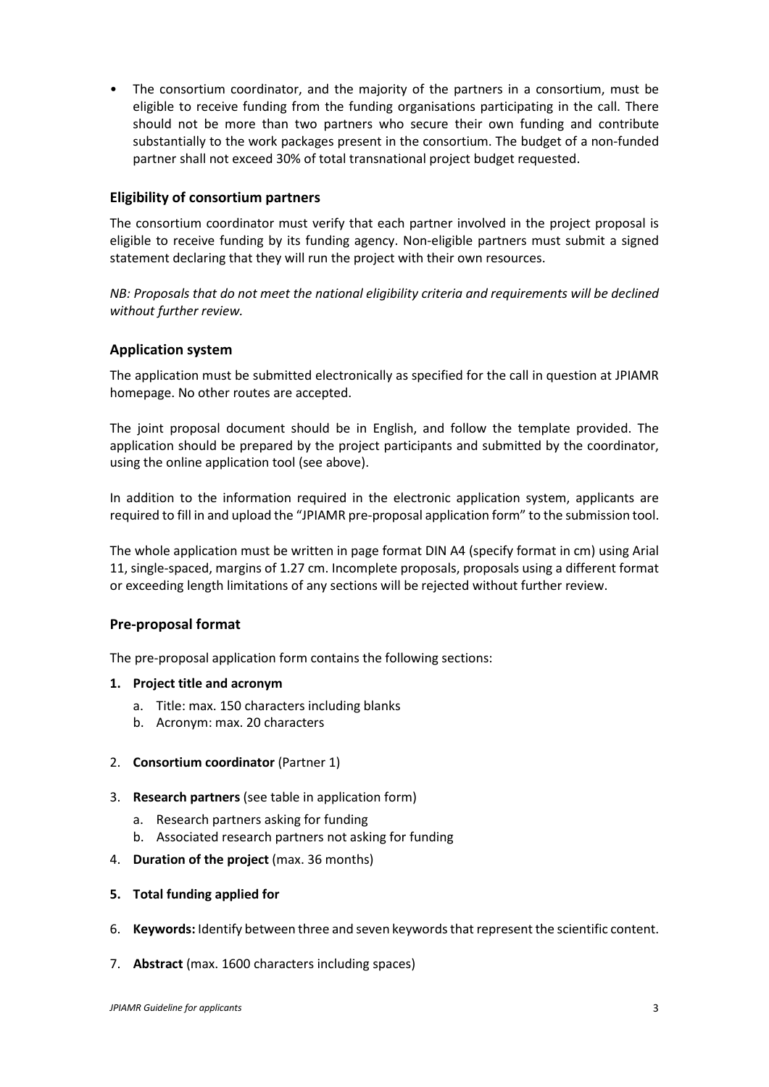• The consortium coordinator, and the majority of the partners in a consortium, must be eligible to receive funding from the funding organisations participating in the call. There should not be more than two partners who secure their own funding and contribute substantially to the work packages present in the consortium. The budget of a non-funded partner shall not exceed 30% of total transnational project budget requested.

## <span id="page-4-0"></span>**Eligibility of consortium partners**

The consortium coordinator must verify that each partner involved in the project proposal is eligible to receive funding by its funding agency. Non-eligible partners must submit a signed statement declaring that they will run the project with their own resources.

*NB: Proposals that do not meet the national eligibility criteria and requirements will be declined without further review.*

## <span id="page-4-1"></span>**Application system**

The application must be submitted electronically as specified for the call in question at JPIAMR homepage. No other routes are accepted.

The joint proposal document should be in English, and follow the template provided. The application should be prepared by the project participants and submitted by the coordinator, using the online application tool (see above).

In addition to the information required in the electronic application system, applicants are required to fill in and upload the "JPIAMR pre-proposal application form" to the submission tool.

The whole application must be written in page format DIN A4 (specify format in cm) using Arial 11, single-spaced, margins of 1.27 cm. Incomplete proposals, proposals using a different format or exceeding length limitations of any sections will be rejected without further review.

#### <span id="page-4-2"></span>**Pre-proposal format**

<span id="page-4-3"></span>The pre-proposal application form contains the following sections:

#### **1. Project title and acronym**

- a. Title: max. 150 characters including blanks
- b. Acronym: max. 20 characters
- 2. **Consortium coordinator** (Partner 1)
- 3. **Research partners** (see table in application form)
	- a. Research partners asking for funding
	- b. Associated research partners not asking for funding
- 4. **Duration of the project** (max. 36 months)
- **5. Total funding applied for**
- 6. **Keywords:** Identify between three and seven keywords that represent the scientific content.
- 7. **Abstract** (max. 1600 characters including spaces)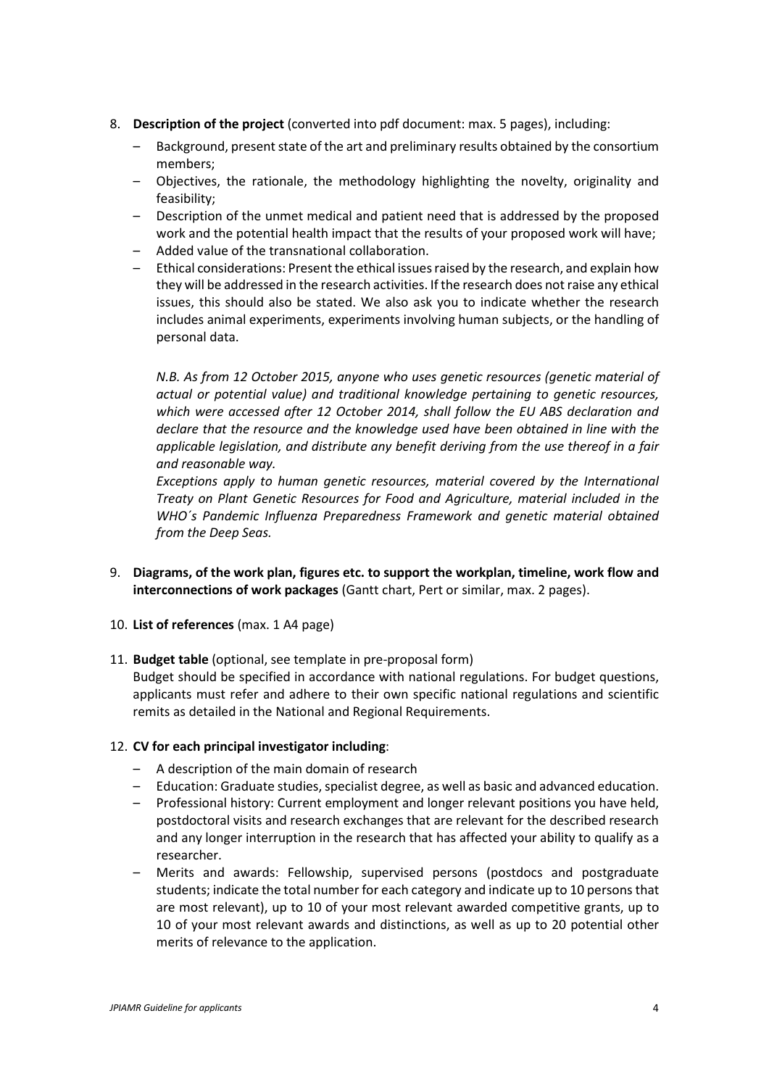- 8. **Description of the project** (converted into pdf document: max. 5 pages), including:
	- Background, present state of the art and preliminary results obtained by the consortium members;
	- Objectives, the rationale, the methodology highlighting the novelty, originality and feasibility;
	- Description of the unmet medical and patient need that is addressed by the proposed work and the potential health impact that the results of your proposed work will have;
	- Added value of the transnational collaboration.
	- Ethical considerations: Present the ethical issues raised by the research, and explain how they will be addressed in the research activities. If the research does not raise any ethical issues, this should also be stated. We also ask you to indicate whether the research includes animal experiments, experiments involving human subjects, or the handling of personal data.

*N.B. As from 12 October 2015, anyone who uses genetic resources (genetic material of actual or potential value) and traditional knowledge pertaining to genetic resources, which were accessed after 12 October 2014, shall follow the EU ABS declaration and declare that the resource and the knowledge used have been obtained in line with the applicable legislation, and distribute any benefit deriving from the use thereof in a fair and reasonable way.*

*Exceptions apply to human genetic resources, material covered by the International Treaty on Plant Genetic Resources for Food and Agriculture, material included in the WHO´s Pandemic Influenza Preparedness Framework and genetic material obtained from the Deep Seas.*

- 9. **Diagrams, of the work plan, figures etc. to support the workplan, timeline, work flow and interconnections of work packages** (Gantt chart, Pert or similar, max. 2 pages).
- 10. **List of references** (max. 1 A4 page)
- 11. **Budget table** (optional, see template in pre-proposal form)

Budget should be specified in accordance with national regulations. For budget questions, applicants must refer and adhere to their own specific national regulations and scientific remits as detailed in the National and Regional Requirements.

#### 12. **CV for each principal investigator including**:

- A description of the main domain of research
- Education: Graduate studies, specialist degree, as well as basic and advanced education.
- Professional history: Current employment and longer relevant positions you have held, postdoctoral visits and research exchanges that are relevant for the described research and any longer interruption in the research that has affected your ability to qualify as a researcher.
- Merits and awards: Fellowship, supervised persons (postdocs and postgraduate students; indicate the total number for each category and indicate up to 10 persons that are most relevant), up to 10 of your most relevant awarded competitive grants, up to 10 of your most relevant awards and distinctions, as well as up to 20 potential other merits of relevance to the application.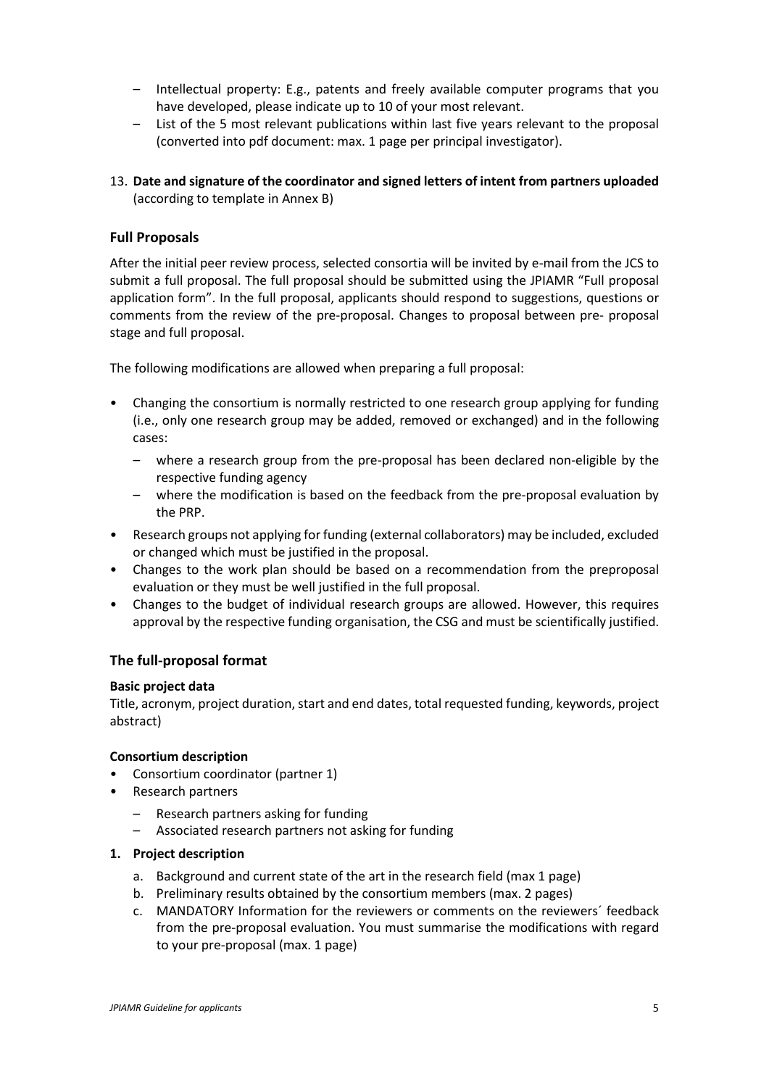- Intellectual property: E.g., patents and freely available computer programs that you have developed, please indicate up to 10 of your most relevant.
- List of the 5 most relevant publications within last five years relevant to the proposal (converted into pdf document: max. 1 page per principal investigator).
- 13. **Date and signature of the coordinator and signed letters of intent from partners uploaded** (according to template in Annex B)

## <span id="page-6-0"></span>**Full Proposals**

After the initial peer review process, selected consortia will be invited by e-mail from the JCS to submit a full proposal. The full proposal should be submitted using the JPIAMR "Full proposal application form". In the full proposal, applicants should respond to suggestions, questions or comments from the review of the pre-proposal. Changes to proposal between pre- proposal stage and full proposal.

The following modifications are allowed when preparing a full proposal:

- Changing the consortium is normally restricted to one research group applying for funding (i.e., only one research group may be added, removed or exchanged) and in the following cases:
	- where a research group from the pre-proposal has been declared non-eligible by the respective funding agency
	- where the modification is based on the feedback from the pre-proposal evaluation by the PRP.
- Research groups not applying for funding (external collaborators) may be included, excluded or changed which must be justified in the proposal.
- Changes to the work plan should be based on a recommendation from the preproposal evaluation or they must be well justified in the full proposal.
- Changes to the budget of individual research groups are allowed. However, this requires approval by the respective funding organisation, the CSG and must be scientifically justified.

#### <span id="page-6-1"></span>**The full-proposal format**

#### **Basic project data**

Title, acronym, project duration, start and end dates, total requested funding, keywords, project abstract)

#### **Consortium description**

- Consortium coordinator (partner 1)
- Research partners
	- Research partners asking for funding
	- Associated research partners not asking for funding

#### **1. Project description**

- a. Background and current state of the art in the research field (max 1 page)
- b. Preliminary results obtained by the consortium members (max. 2 pages)
- c. MANDATORY Information for the reviewers or comments on the reviewers´ feedback from the pre-proposal evaluation. You must summarise the modifications with regard to your pre-proposal (max. 1 page)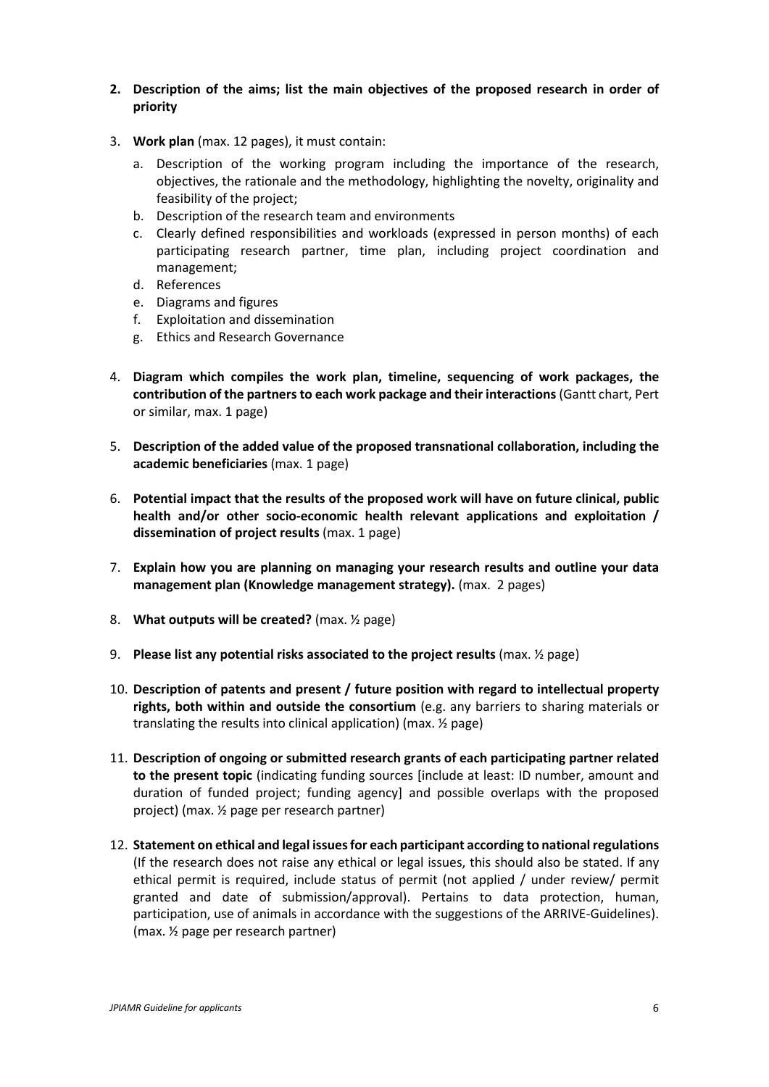- **2. Description of the aims; list the main objectives of the proposed research in order of priority**
- 3. **Work plan** (max. 12 pages), it must contain:
	- a. Description of the working program including the importance of the research, objectives, the rationale and the methodology, highlighting the novelty, originality and feasibility of the project;
	- b. Description of the research team and environments
	- c. Clearly defined responsibilities and workloads (expressed in person months) of each participating research partner, time plan, including project coordination and management;
	- d. References
	- e. Diagrams and figures
	- f. Exploitation and dissemination
	- g. Ethics and Research Governance
- 4. **Diagram which compiles the work plan, timeline, sequencing of work packages, the contribution of the partners to each work package and their interactions**(Gantt chart, Pert or similar, max. 1 page)
- 5. **Description of the added value of the proposed transnational collaboration, including the academic beneficiaries** (max. 1 page)
- 6. **Potential impact that the results of the proposed work will have on future clinical, public health and/or other socio-economic health relevant applications and exploitation / dissemination of project results** (max. 1 page)
- 7. **Explain how you are planning on managing your research results and outline your data management plan (Knowledge management strategy).** (max. 2 pages)
- 8. **What outputs will be created?** (max. ½ page)
- 9. **Please list any potential risks associated to the project results** (max. ½ page)
- 10. **Description of patents and present / future position with regard to intellectual property rights, both within and outside the consortium** (e.g. any barriers to sharing materials or translating the results into clinical application) (max. ½ page)
- 11. **Description of ongoing or submitted research grants of each participating partner related to the present topic** (indicating funding sources [include at least: ID number, amount and duration of funded project; funding agency] and possible overlaps with the proposed project) (max. ½ page per research partner)
- 12. **Statement on ethical and legal issues for each participant according to national regulations** (If the research does not raise any ethical or legal issues, this should also be stated. If any ethical permit is required, include status of permit (not applied / under review/ permit granted and date of submission/approval). Pertains to data protection, human, participation, use of animals in accordance with the suggestions of the ARRIVE-Guidelines). (max. ½ page per research partner)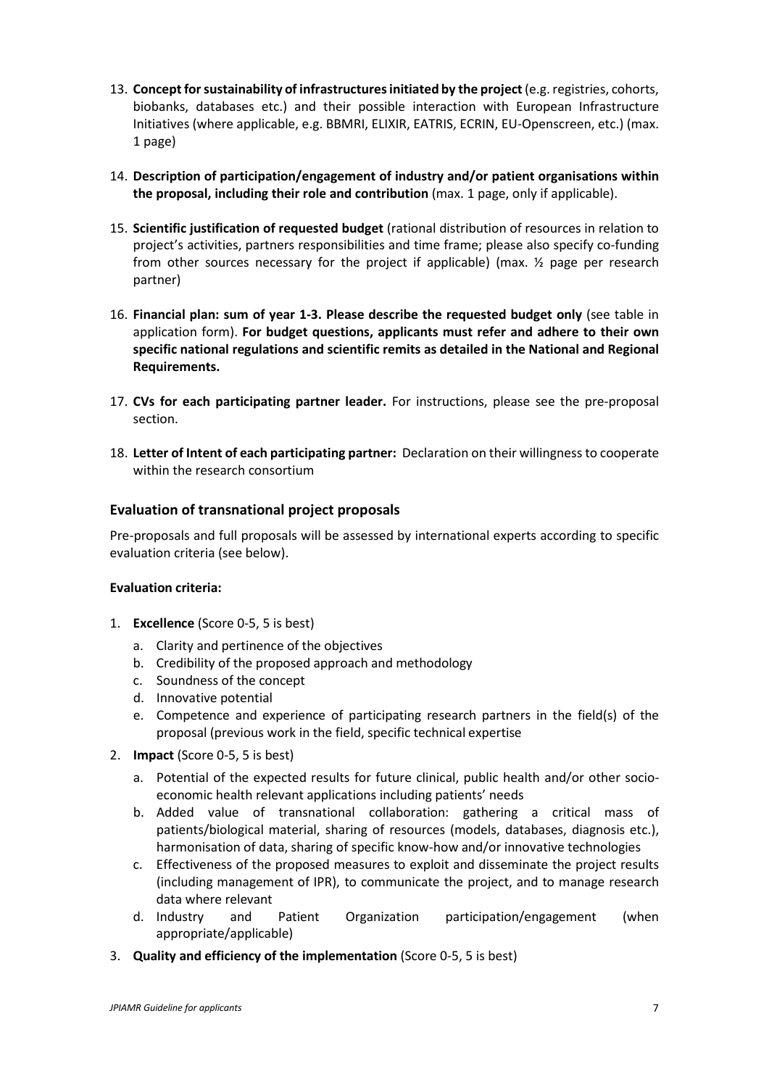- 13. **Concept for sustainability of infrastructures initiated by the project**(e.g. registries, cohorts, biobanks, databases etc.) and their possible interaction with European Infrastructure Initiatives (where applicable, e.g. BBMRI, ELIXIR, EATRIS, ECRIN, EU-Openscreen, etc.) (max. 1 page)
- 14. **Description of participation/engagement of industry and/or patient organisations within the proposal, including their role and contribution** (max. 1 page, only if applicable).
- 15. **Scientific justification of requested budget** (rational distribution of resources in relation to project's activities, partners responsibilities and time frame; please also specify co-funding from other sources necessary for the project if applicable) (max. ½ page per research partner)
- 16. **Financial plan: sum of year 1-3. Please describe the requested budget only** (see table in application form). **For budget questions, applicants must refer and adhere to their own specific national regulations and scientific remits as detailed in the National and Regional Requirements.**
- 17. **CVs for each participating partner leader.** For instructions, please see the pre-proposal section.
- 18. **Letter of Intent of each participating partner:** Declaration on their willingness to cooperate within the research consortium

# <span id="page-8-0"></span>**Evaluation of transnational project proposals**

Pre-proposals and full proposals will be assessed by international experts according to specific evaluation criteria (see below).

#### **Evaluation criteria:**

- 1. **Excellence** (Score 0-5, 5 is best)
	- a. Clarity and pertinence of the objectives
	- b. Credibility of the proposed approach and methodology
	- c. Soundness of the concept
	- d. Innovative potential
	- e. Competence and experience of participating research partners in the field(s) of the proposal (previous work in the field, specific technical expertise
- 2. **Impact** (Score 0-5, 5 is best)
	- a. Potential of the expected results for future clinical, public health and/or other socioeconomic health relevant applications including patients' needs
	- b. Added value of transnational collaboration: gathering a critical mass of patients/biological material, sharing of resources (models, databases, diagnosis etc.), harmonisation of data, sharing of specific know-how and/or innovative technologies
	- c. Effectiveness of the proposed measures to exploit and disseminate the project results (including management of IPR), to communicate the project, and to manage research data where relevant
	- d. Industry and Patient Organization participation/engagement (when appropriate/applicable)
- 3. **Quality and efficiency of the implementation** (Score 0-5, 5 is best)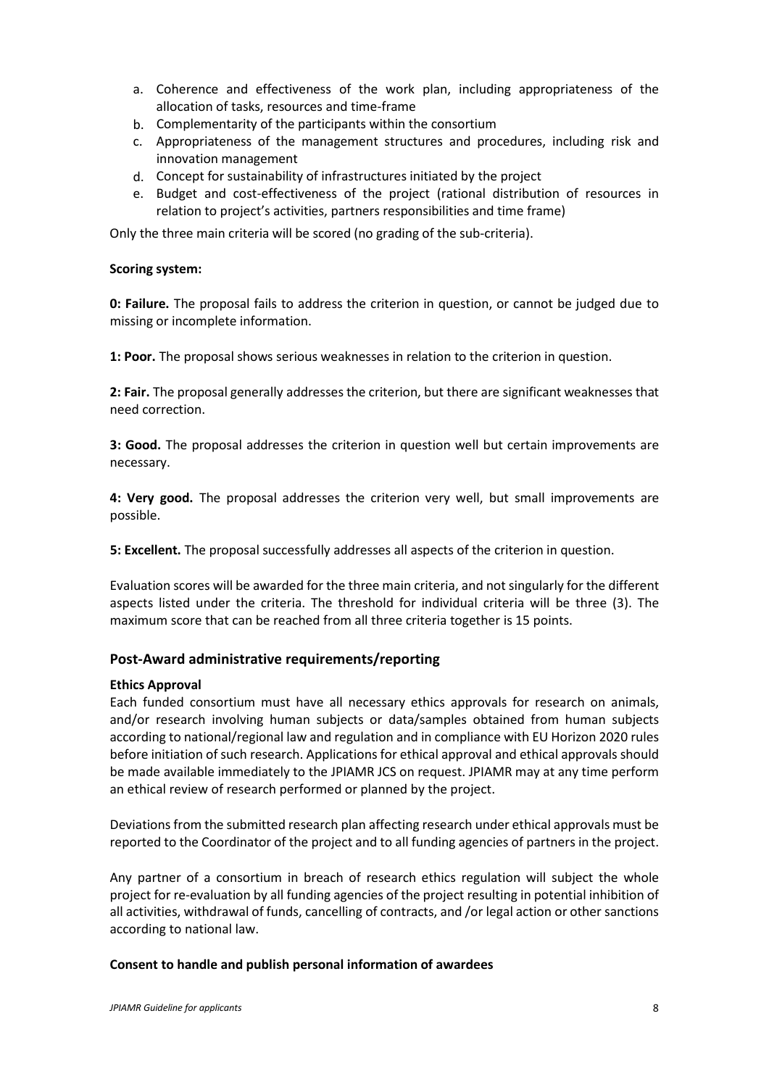- a. Coherence and effectiveness of the work plan, including appropriateness of the allocation of tasks, resources and time-frame
- b. Complementarity of the participants within the consortium
- c. Appropriateness of the management structures and procedures, including risk and innovation management
- d. Concept for sustainability of infrastructures initiated by the project
- e. Budget and cost-effectiveness of the project (rational distribution of resources in relation to project's activities, partners responsibilities and time frame)

Only the three main criteria will be scored (no grading of the sub-criteria).

#### **Scoring system:**

**0: Failure.** The proposal fails to address the criterion in question, or cannot be judged due to missing or incomplete information.

**1: Poor.** The proposal shows serious weaknesses in relation to the criterion in question.

**2: Fair.** The proposal generally addresses the criterion, but there are significant weaknesses that need correction.

**3: Good.** The proposal addresses the criterion in question well but certain improvements are necessary.

**4: Very good.** The proposal addresses the criterion very well, but small improvements are possible.

**5: Excellent.** The proposal successfully addresses all aspects of the criterion in question.

Evaluation scores will be awarded for the three main criteria, and not singularly for the different aspects listed under the criteria. The threshold for individual criteria will be three (3). The maximum score that can be reached from all three criteria together is 15 points.

#### <span id="page-9-0"></span>**Post-Award administrative requirements/reporting**

#### **Ethics Approval**

Each funded consortium must have all necessary ethics approvals for research on animals, and/or research involving human subjects or data/samples obtained from human subjects according to national/regional law and regulation and in compliance with EU Horizon 2020 rules before initiation of such research. Applications for ethical approval and ethical approvals should be made available immediately to the JPIAMR JCS on request. JPIAMR may at any time perform an ethical review of research performed or planned by the project.

Deviations from the submitted research plan affecting research under ethical approvals must be reported to the Coordinator of the project and to all funding agencies of partners in the project.

Any partner of a consortium in breach of research ethics regulation will subject the whole project for re-evaluation by all funding agencies of the project resulting in potential inhibition of all activities, withdrawal of funds, cancelling of contracts, and /or legal action or other sanctions according to national law.

#### **Consent to handle and publish personal information of awardees**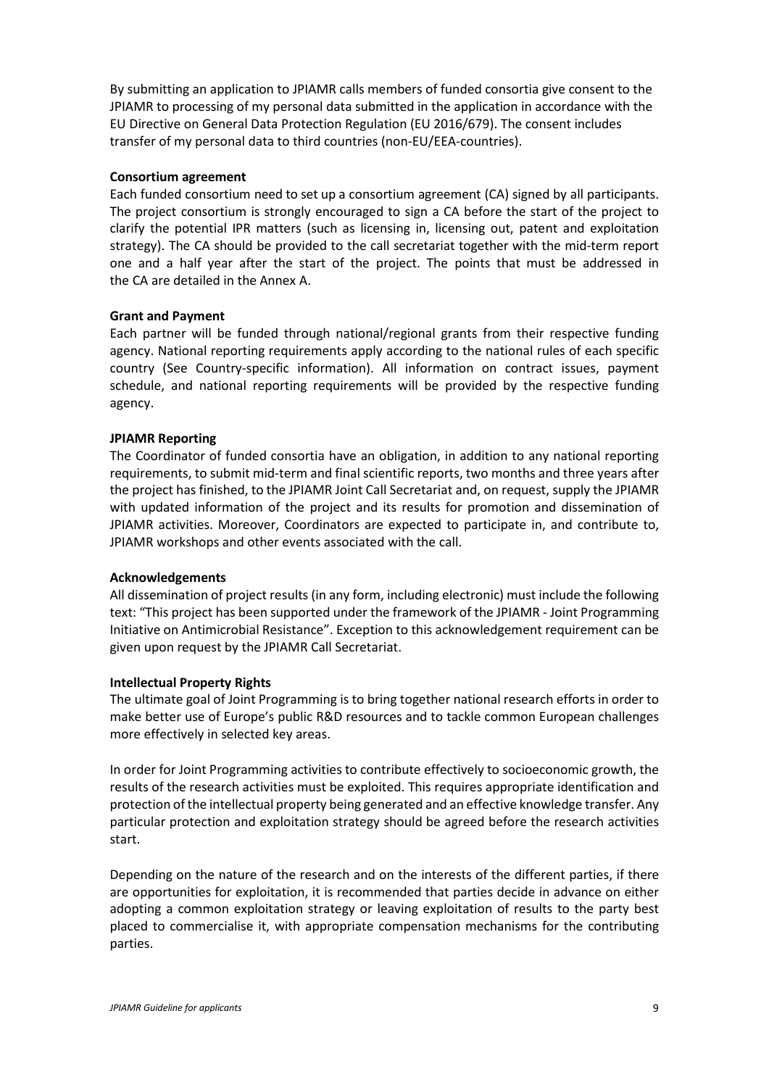By submitting an application to JPIAMR calls members of funded consortia give consent to the JPIAMR to processing of my personal data submitted in the application in accordance with the EU Directive on General Data Protection Regulation (EU 2016/679). The consent includes transfer of my personal data to third countries (non-EU/EEA-countries).

#### **Consortium agreement**

Each funded consortium need to set up a consortium agreement (CA) signed by all participants. The project consortium is strongly encouraged to sign a CA before the start of the project to clarify the potential IPR matters (such as licensing in, licensing out, patent and exploitation strategy). The CA should be provided to the call secretariat together with the mid-term report one and a half year after the start of the project. The points that must be addressed in the CA are detailed in the Annex A.

#### **Grant and Payment**

Each partner will be funded through national/regional grants from their respective funding agency. National reporting requirements apply according to the national rules of each specific country (See Country-specific information). All information on contract issues, payment schedule, and national reporting requirements will be provided by the respective funding agency.

#### **JPIAMR Reporting**

The Coordinator of funded consortia have an obligation, in addition to any national reporting requirements, to submit mid-term and final scientific reports, two months and three years after the project has finished, to the JPIAMR Joint Call Secretariat and, on request, supply the JPIAMR with updated information of the project and its results for promotion and dissemination of JPIAMR activities. Moreover, Coordinators are expected to participate in, and contribute to, JPIAMR workshops and other events associated with the call.

#### **Acknowledgements**

All dissemination of project results (in any form, including electronic) must include the following text: "This project has been supported under the framework of the JPIAMR - Joint Programming Initiative on Antimicrobial Resistance". Exception to this acknowledgement requirement can be given upon request by the JPIAMR Call Secretariat.

#### **Intellectual Property Rights**

The ultimate goal of Joint Programming is to bring together national research efforts in order to make better use of Europe's public R&D resources and to tackle common European challenges more effectively in selected key areas.

In order for Joint Programming activities to contribute effectively to socioeconomic growth, the results of the research activities must be exploited. This requires appropriate identification and protection of the intellectual property being generated and an effective knowledge transfer. Any particular protection and exploitation strategy should be agreed before the research activities start.

Depending on the nature of the research and on the interests of the different parties, if there are opportunities for exploitation, it is recommended that parties decide in advance on either adopting a common exploitation strategy or leaving exploitation of results to the party best placed to commercialise it, with appropriate compensation mechanisms for the contributing parties.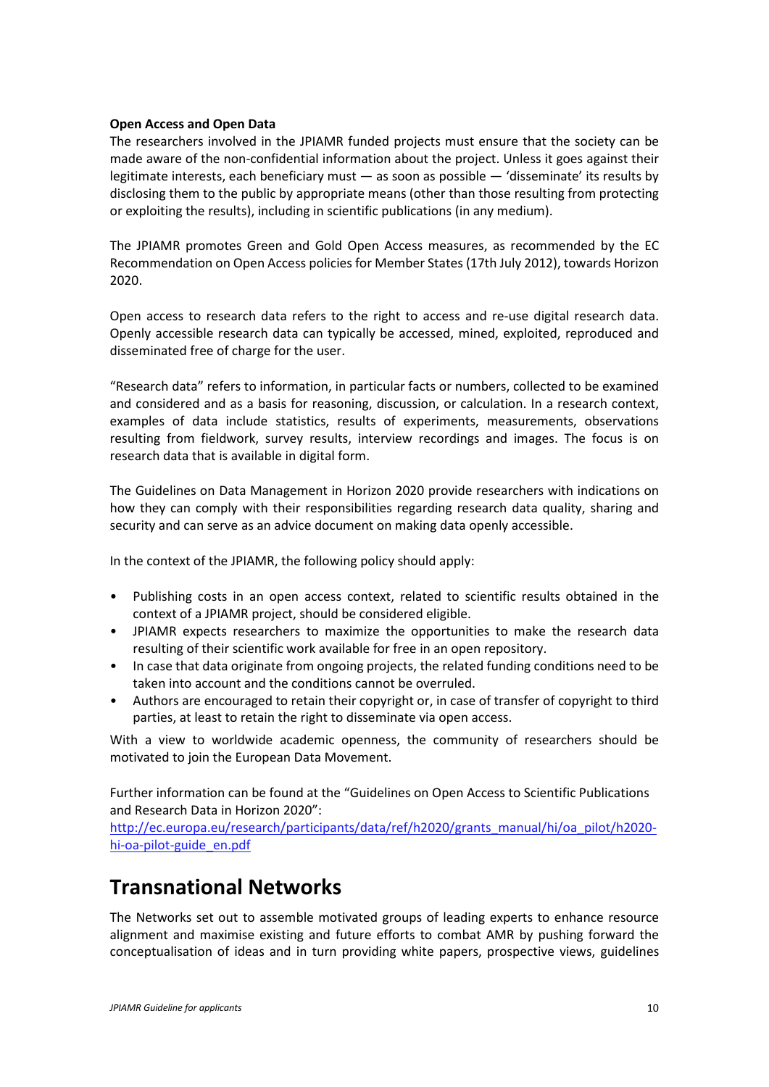#### **Open Access and Open Data**

The researchers involved in the JPIAMR funded projects must ensure that the society can be made aware of the non-confidential information about the project. Unless it goes against their legitimate interests, each beneficiary must — as soon as possible — 'disseminate' its results by disclosing them to the public by appropriate means (other than those resulting from protecting or exploiting the results), including in scientific publications (in any medium).

The JPIAMR promotes Green and Gold Open Access measures, as recommended by the EC Recommendation on Open Access policies for Member States (17th July 2012), towards Horizon 2020.

Open access to research data refers to the right to access and re-use digital research data. Openly accessible research data can typically be accessed, mined, exploited, reproduced and disseminated free of charge for the user.

"Research data" refers to information, in particular facts or numbers, collected to be examined and considered and as a basis for reasoning, discussion, or calculation. In a research context, examples of data include statistics, results of experiments, measurements, observations resulting from fieldwork, survey results, interview recordings and images. The focus is on research data that is available in digital form.

The Guidelines on Data Management in Horizon 2020 provide researchers with indications on how they can comply with their responsibilities regarding research data quality, sharing and security and can serve as an advice document on making data openly accessible.

In the context of the JPIAMR, the following policy should apply:

- Publishing costs in an open access context, related to scientific results obtained in the context of a JPIAMR project, should be considered eligible.
- JPIAMR expects researchers to maximize the opportunities to make the research data resulting of their scientific work available for free in an open repository.
- In case that data originate from ongoing projects, the related funding conditions need to be taken into account and the conditions cannot be overruled.
- Authors are encouraged to retain their copyright or, in case of transfer of copyright to third parties, at least to retain the right to disseminate via open access.

With a view to worldwide academic openness, the community of researchers should be motivated to join the European Data Movement.

Further information can be found at the "Guidelines on Open Access to Scientific Publications and Research Data in Horizon 2020":

[http://ec.europa.eu/research/participants/data/ref/h2020/grants\\_manual/hi/oa\\_pilot/h2020](http://ec.europa.eu/research/participants/data/ref/h2020/grants_manual/hi/oa_pilot/h2020-hi-oa-pilot-guide_en.pdf) [hi-oa-pilot-guide\\_en.pdf](http://ec.europa.eu/research/participants/data/ref/h2020/grants_manual/hi/oa_pilot/h2020-hi-oa-pilot-guide_en.pdf)

# <span id="page-11-0"></span>**Transnational Networks**

The Networks set out to assemble motivated groups of leading experts to enhance resource alignment and maximise existing and future efforts to combat AMR by pushing forward the conceptualisation of ideas and in turn providing white papers, prospective views, guidelines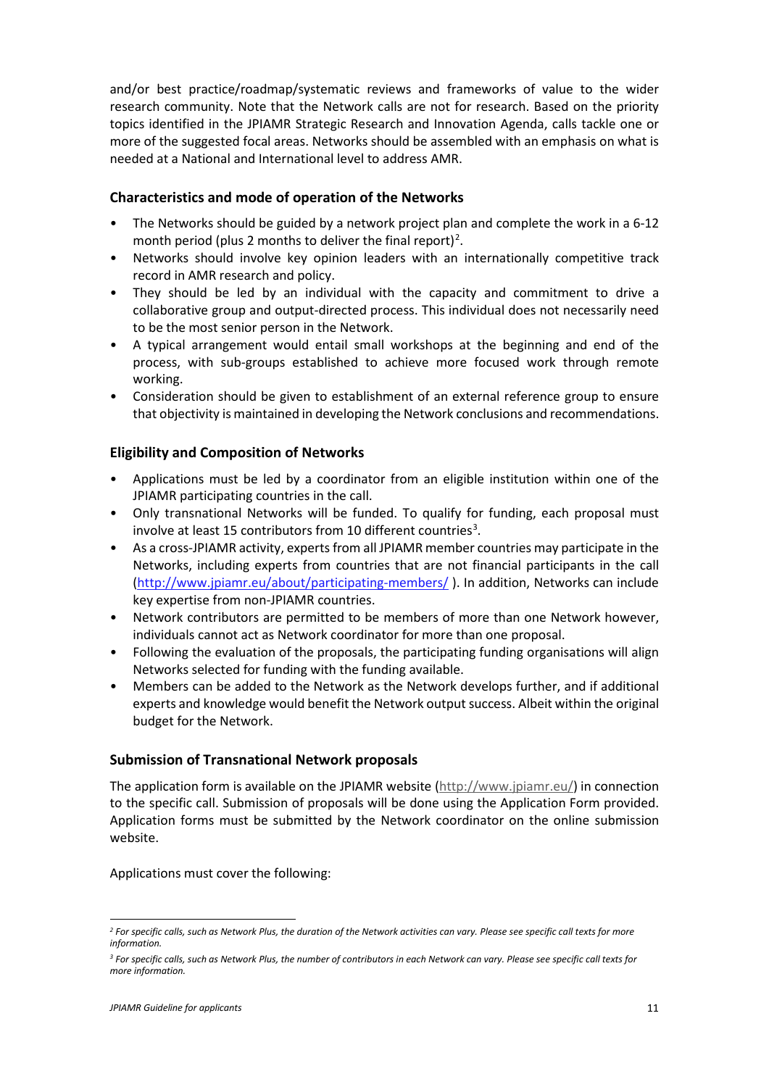and/or best practice/roadmap/systematic reviews and frameworks of value to the wider research community. Note that the Network calls are not for research. Based on the priority topics identified in the JPIAMR Strategic Research and Innovation Agenda, calls tackle one or more of the suggested focal areas. Networks should be assembled with an emphasis on what is needed at a National and International level to address AMR.

## <span id="page-12-0"></span>**Characteristics and mode of operation of the Networks**

- The Networks should be guided by a network project plan and complete the work in a 6-12 month period (plus [2](#page-12-3) months to deliver the final report)<sup>2</sup>.
- Networks should involve key opinion leaders with an internationally competitive track record in AMR research and policy.
- They should be led by an individual with the capacity and commitment to drive a collaborative group and output-directed process. This individual does not necessarily need to be the most senior person in the Network.
- A typical arrangement would entail small workshops at the beginning and end of the process, with sub-groups established to achieve more focused work through remote working.
- Consideration should be given to establishment of an external reference group to ensure that objectivity is maintained in developing the Network conclusions and recommendations.

# <span id="page-12-1"></span>**Eligibility and Composition of Networks**

- Applications must be led by a coordinator from an eligible institution within one of the JPIAMR participating countries in the call.
- Only transnational Networks will be funded. To qualify for funding, each proposal must involve at least 15 contributors from 10 different countries<sup>[3](#page-12-4)</sup>.
- As a cross-JPIAMR activity, experts from all JPIAMR member countries may participate in the Networks, including experts from countries that are not financial participants in the call [\(http://www.jpiamr.eu/about/participating-members/](http://www.jpiamr.eu/about/participating-members/) ). In addition, Networks can include key expertise from non-JPIAMR countries.
- Network contributors are permitted to be members of more than one Network however, individuals cannot act as Network coordinator for more than one proposal.
- Following the evaluation of the proposals, the participating funding organisations will align Networks selected for funding with the funding available.
- Members can be added to the Network as the Network develops further, and if additional experts and knowledge would benefit the Network output success. Albeit within the original budget for the Network.

#### <span id="page-12-2"></span>**Submission of Transnational Network proposals**

The application form is available on the JPIAMR website [\(http://www.jpiamr.eu/\)](http://www.jpiamr.eu/) in connection to the specific call. Submission of proposals will be done using the Application Form provided. Application forms must be submitted by the Network coordinator on the online submission website.

Applications must cover the following:

<span id="page-12-3"></span>*<sup>2</sup> For specific calls, such as Network Plus, the duration of the Network activities can vary. Please see specific call texts for more information.*

<span id="page-12-4"></span>*<sup>3</sup> For specific calls, such as Network Plus, the number of contributors in each Network can vary. Please see specific call texts for more information.*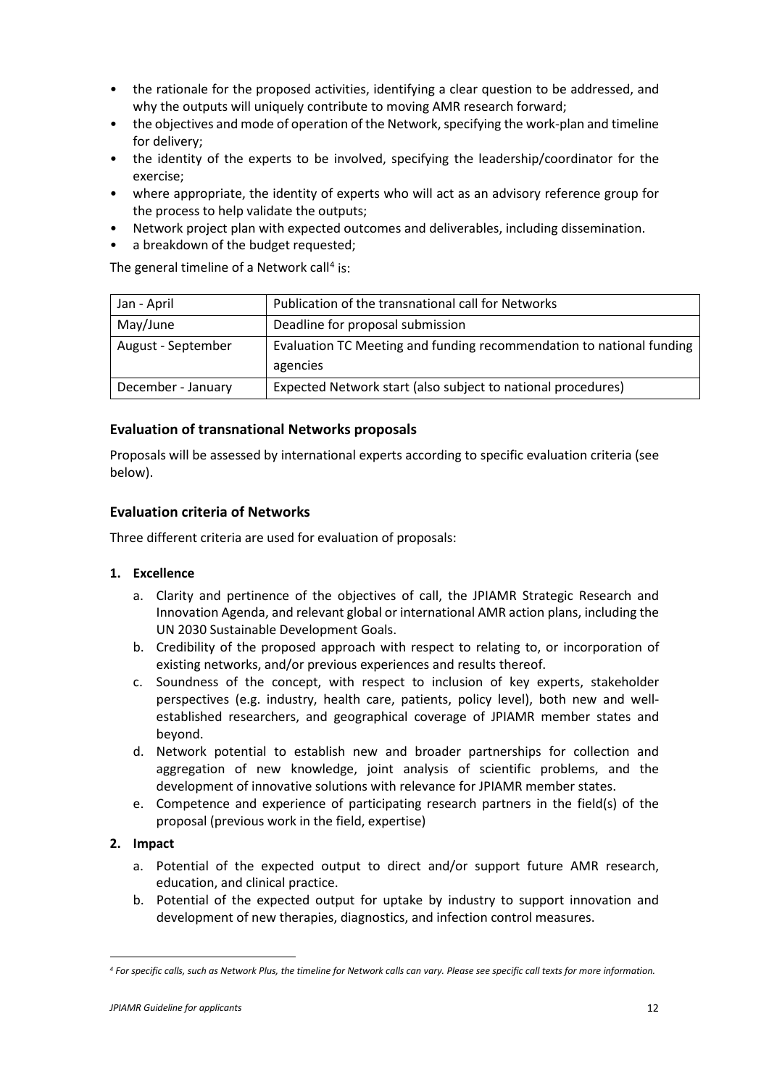- the rationale for the proposed activities, identifying a clear question to be addressed, and why the outputs will uniquely contribute to moving AMR research forward;
- the objectives and mode of operation of the Network, specifying the work-plan and timeline for delivery;
- the identity of the experts to be involved, specifying the leadership/coordinator for the exercise;
- where appropriate, the identity of experts who will act as an advisory reference group for the process to help validate the outputs;
- Network project plan with expected outcomes and deliverables, including dissemination.
- a breakdown of the budget requested;

The general timeline of a Network call<sup>[4](#page-13-2)</sup> is:

| Jan - April        | Publication of the transnational call for Networks                   |
|--------------------|----------------------------------------------------------------------|
| May/June           | Deadline for proposal submission                                     |
| August - September | Evaluation TC Meeting and funding recommendation to national funding |
|                    | agencies                                                             |
| December - January | Expected Network start (also subject to national procedures)         |

## <span id="page-13-0"></span>**Evaluation of transnational Networks proposals**

Proposals will be assessed by international experts according to specific evaluation criteria (see below).

## <span id="page-13-1"></span>**Evaluation criteria of Networks**

Three different criteria are used for evaluation of proposals:

#### **1. Excellence**

- a. Clarity and pertinence of the objectives of call, the JPIAMR Strategic Research and Innovation Agenda, and relevant global or international AMR action plans, including the UN 2030 Sustainable Development Goals.
- b. Credibility of the proposed approach with respect to relating to, or incorporation of existing networks, and/or previous experiences and results thereof.
- c. Soundness of the concept, with respect to inclusion of key experts, stakeholder perspectives (e.g. industry, health care, patients, policy level), both new and wellestablished researchers, and geographical coverage of JPIAMR member states and beyond.
- d. Network potential to establish new and broader partnerships for collection and aggregation of new knowledge, joint analysis of scientific problems, and the development of innovative solutions with relevance for JPIAMR member states.
- e. Competence and experience of participating research partners in the field(s) of the proposal (previous work in the field, expertise)

#### **2. Impact**

- a. Potential of the expected output to direct and/or support future AMR research, education, and clinical practice.
- b. Potential of the expected output for uptake by industry to support innovation and development of new therapies, diagnostics, and infection control measures.

<span id="page-13-2"></span>*<sup>4</sup> For specific calls, such as Network Plus, the timeline for Network calls can vary. Please see specific call texts for more information.*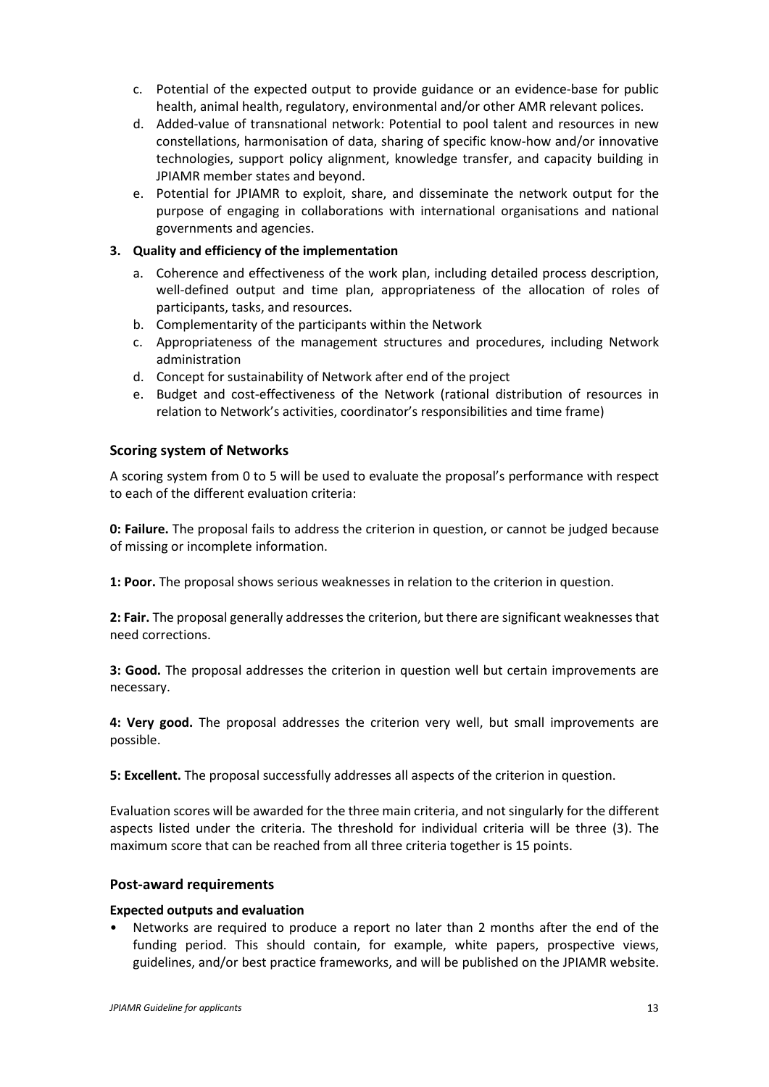- c. Potential of the expected output to provide guidance or an evidence-base for public health, animal health, regulatory, environmental and/or other AMR relevant polices.
- d. Added-value of transnational network: Potential to pool talent and resources in new constellations, harmonisation of data, sharing of specific know-how and/or innovative technologies, support policy alignment, knowledge transfer, and capacity building in JPIAMR member states and beyond.
- e. Potential for JPIAMR to exploit, share, and disseminate the network output for the purpose of engaging in collaborations with international organisations and national governments and agencies.

#### **3. Quality and efficiency of the implementation**

- a. Coherence and effectiveness of the work plan, including detailed process description, well-defined output and time plan, appropriateness of the allocation of roles of participants, tasks, and resources.
- b. Complementarity of the participants within the Network
- c. Appropriateness of the management structures and procedures, including Network administration
- d. Concept for sustainability of Network after end of the project
- e. Budget and cost-effectiveness of the Network (rational distribution of resources in relation to Network's activities, coordinator's responsibilities and time frame)

#### <span id="page-14-0"></span>**Scoring system of Networks**

A scoring system from 0 to 5 will be used to evaluate the proposal's performance with respect to each of the different evaluation criteria:

**0: Failure.** The proposal fails to address the criterion in question, or cannot be judged because of missing or incomplete information.

**1: Poor.** The proposal shows serious weaknesses in relation to the criterion in question.

**2: Fair.** The proposal generally addresses the criterion, but there are significant weaknesses that need corrections.

**3: Good.** The proposal addresses the criterion in question well but certain improvements are necessary.

**4: Very good.** The proposal addresses the criterion very well, but small improvements are possible.

**5: Excellent.** The proposal successfully addresses all aspects of the criterion in question.

Evaluation scores will be awarded for the three main criteria, and not singularly for the different aspects listed under the criteria. The threshold for individual criteria will be three (3). The maximum score that can be reached from all three criteria together is 15 points.

#### <span id="page-14-1"></span>**Post-award requirements**

#### **Expected outputs and evaluation**

• Networks are required to produce a report no later than 2 months after the end of the funding period. This should contain, for example, white papers, prospective views, guidelines, and/or best practice frameworks, and will be published on the JPIAMR website.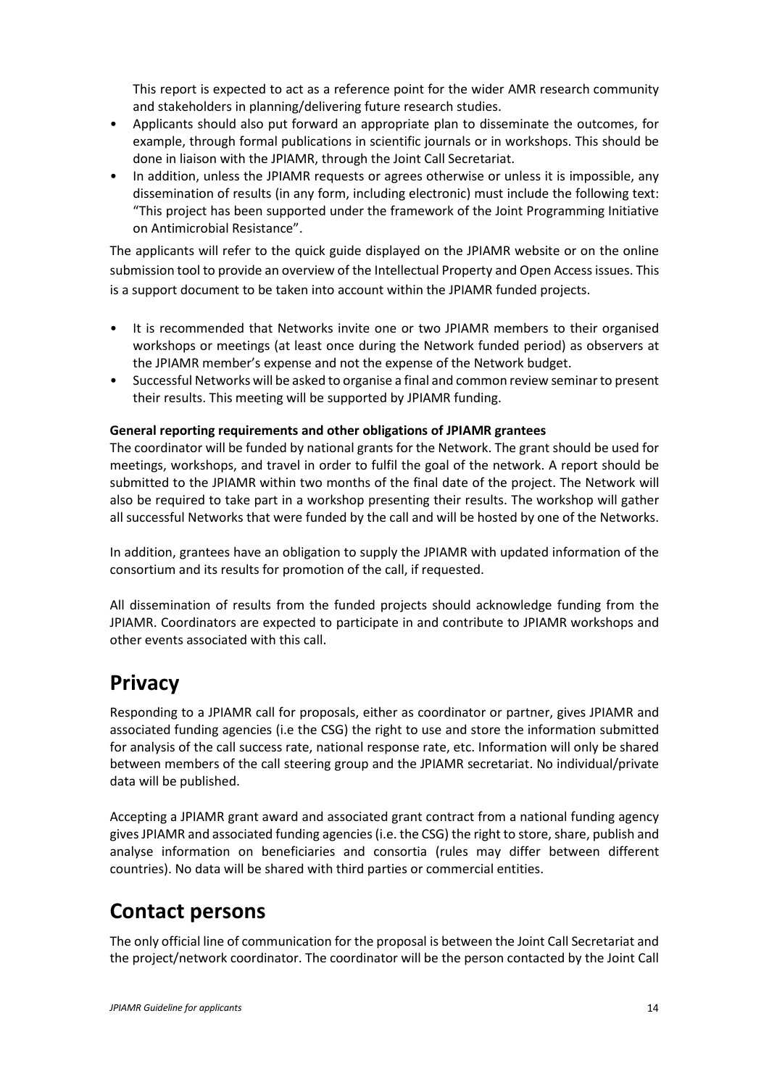This report is expected to act as a reference point for the wider AMR research community and stakeholders in planning/delivering future research studies.

- Applicants should also put forward an appropriate plan to disseminate the outcomes, for example, through formal publications in scientific journals or in workshops. This should be done in liaison with the JPIAMR, through the Joint Call Secretariat.
- In addition, unless the JPIAMR requests or agrees otherwise or unless it is impossible, any dissemination of results (in any form, including electronic) must include the following text: "This project has been supported under the framework of the Joint Programming Initiative on Antimicrobial Resistance".

The applicants will refer to the quick guide displayed on the JPIAMR website or on the online submission tool to provide an overview of the Intellectual Property and Open Access issues. This is a support document to be taken into account within the JPIAMR funded projects.

- It is recommended that Networks invite one or two JPIAMR members to their organised workshops or meetings (at least once during the Network funded period) as observers at the JPIAMR member's expense and not the expense of the Network budget.
- Successful Networks will be asked to organise a final and common review seminar to present their results. This meeting will be supported by JPIAMR funding.

## **General reporting requirements and other obligations of JPIAMR grantees**

The coordinator will be funded by national grants for the Network. The grant should be used for meetings, workshops, and travel in order to fulfil the goal of the network. A report should be submitted to the JPIAMR within two months of the final date of the project. The Network will also be required to take part in a workshop presenting their results. The workshop will gather all successful Networks that were funded by the call and will be hosted by one of the Networks.

In addition, grantees have an obligation to supply the JPIAMR with updated information of the consortium and its results for promotion of the call, if requested.

All dissemination of results from the funded projects should acknowledge funding from the JPIAMR. Coordinators are expected to participate in and contribute to JPIAMR workshops and other events associated with this call.

# <span id="page-15-0"></span>**Privacy**

Responding to a JPIAMR call for proposals, either as coordinator or partner, gives JPIAMR and associated funding agencies (i.e the CSG) the right to use and store the information submitted for analysis of the call success rate, national response rate, etc. Information will only be shared between members of the call steering group and the JPIAMR secretariat. No individual/private data will be published.

Accepting a JPIAMR grant award and associated grant contract from a national funding agency gives JPIAMR and associated funding agencies (i.e. the CSG) the right to store, share, publish and analyse information on beneficiaries and consortia (rules may differ between different countries). No data will be shared with third parties or commercial entities.

# <span id="page-15-1"></span>**Contact persons**

The only official line of communication for the proposal is between the Joint Call Secretariat and the project/network coordinator. The coordinator will be the person contacted by the Joint Call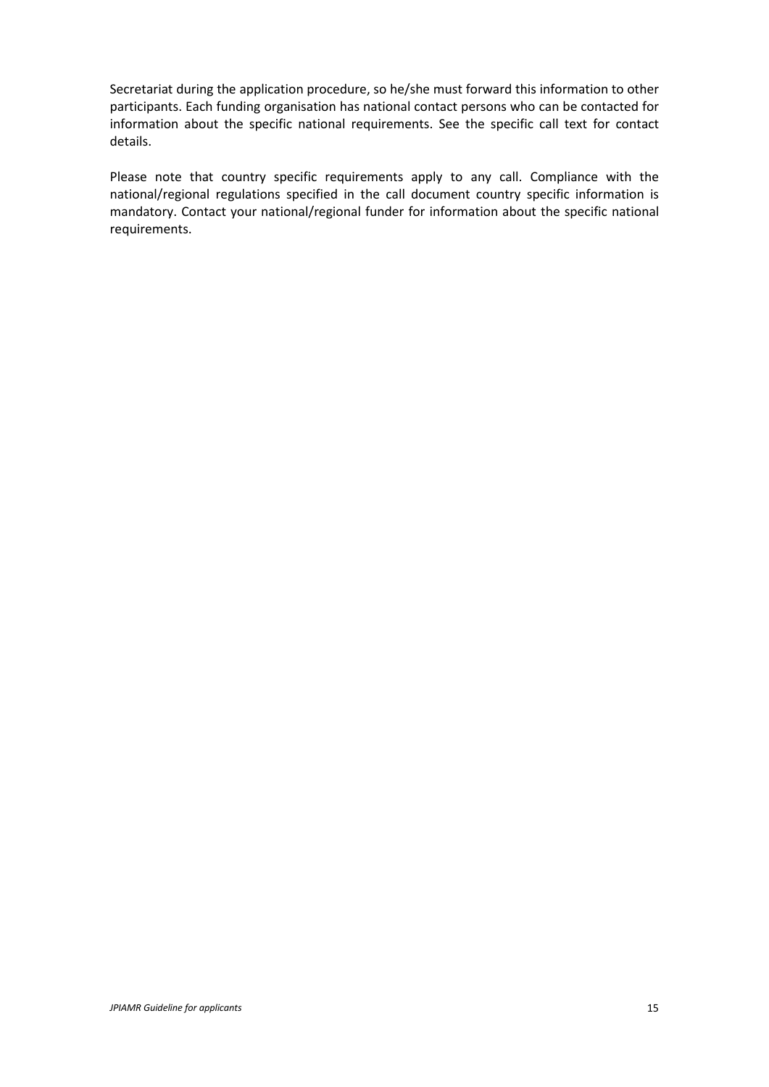Secretariat during the application procedure, so he/she must forward this information to other participants. Each funding organisation has national contact persons who can be contacted for information about the specific national requirements. See the specific call text for contact details.

Please note that country specific requirements apply to any call. Compliance with the national/regional regulations specified in the call document country specific information is mandatory. Contact your national/regional funder for information about the specific national requirements.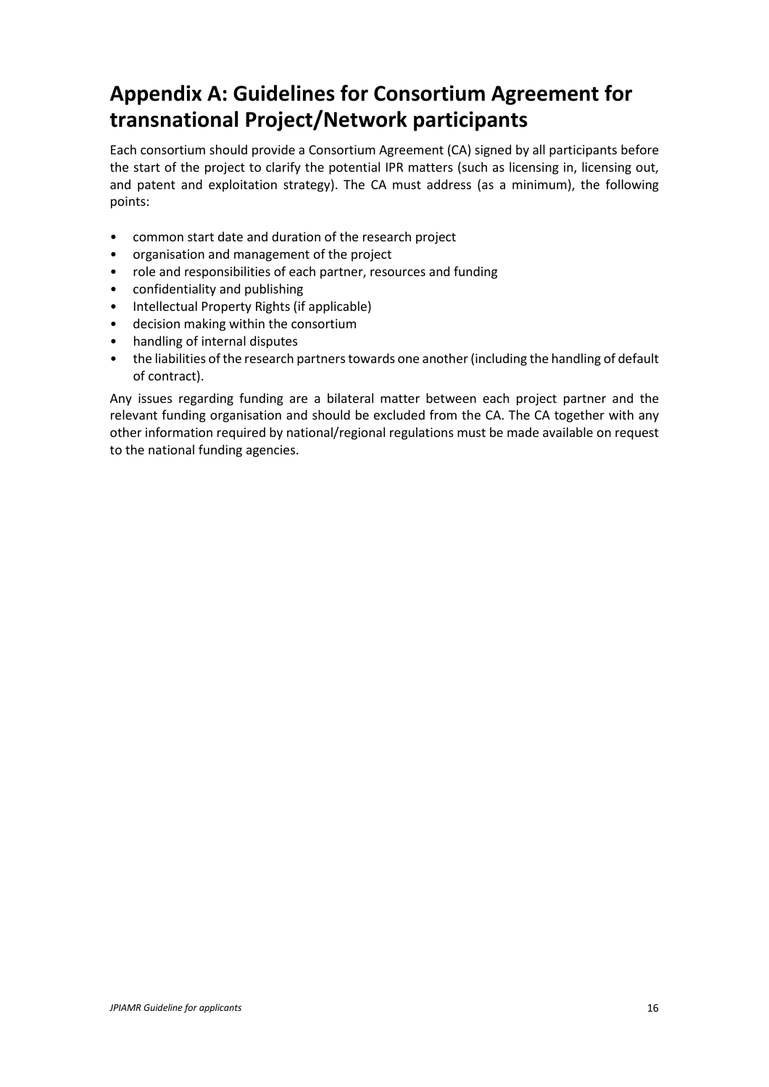# <span id="page-17-0"></span>**Appendix A: Guidelines for Consortium Agreement for transnational Project/Network participants**

Each consortium should provide a Consortium Agreement (CA) signed by all participants before the start of the project to clarify the potential IPR matters (such as licensing in, licensing out, and patent and exploitation strategy). The CA must address (as a minimum), the following points:

- common start date and duration of the research project
- organisation and management of the project
- role and responsibilities of each partner, resources and funding
- confidentiality and publishing
- Intellectual Property Rights (if applicable)
- decision making within the consortium
- handling of internal disputes
- the liabilities of the research partners towards one another (including the handling of default of contract).

Any issues regarding funding are a bilateral matter between each project partner and the relevant funding organisation and should be excluded from the CA. The CA together with any other information required by national/regional regulations must be made available on request to the national funding agencies.